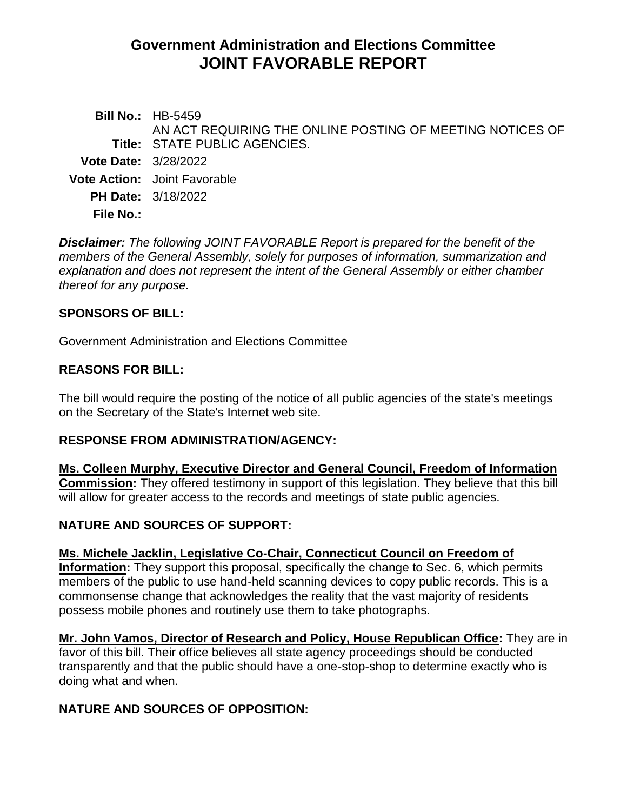# **Government Administration and Elections Committee JOINT FAVORABLE REPORT**

**Bill No.:** HB-5459 **Title:** STATE PUBLIC AGENCIES. AN ACT REQUIRING THE ONLINE POSTING OF MEETING NOTICES OF **Vote Date:** 3/28/2022 **Vote Action:** Joint Favorable **PH Date:** 3/18/2022 **File No.:**

*Disclaimer: The following JOINT FAVORABLE Report is prepared for the benefit of the members of the General Assembly, solely for purposes of information, summarization and explanation and does not represent the intent of the General Assembly or either chamber thereof for any purpose.*

# **SPONSORS OF BILL:**

Government Administration and Elections Committee

# **REASONS FOR BILL:**

The bill would require the posting of the notice of all public agencies of the state's meetings on the Secretary of the State's Internet web site.

### **RESPONSE FROM ADMINISTRATION/AGENCY:**

**Ms. Colleen Murphy, Executive Director and General Council, Freedom of Information Commission:** They offered testimony in support of this legislation. They believe that this bill will allow for greater access to the records and meetings of state public agencies.

# **NATURE AND SOURCES OF SUPPORT:**

# **Ms. Michele Jacklin, Legislative Co-Chair, Connecticut Council on Freedom of**

**Information:** They support this proposal, specifically the change to Sec. 6, which permits members of the public to use hand-held scanning devices to copy public records. This is a commonsense change that acknowledges the reality that the vast majority of residents possess mobile phones and routinely use them to take photographs.

**Mr. John Vamos, Director of Research and Policy, House Republican Office:** They are in favor of this bill. Their office believes all state agency proceedings should be conducted transparently and that the public should have a one-stop-shop to determine exactly who is doing what and when.

# **NATURE AND SOURCES OF OPPOSITION:**